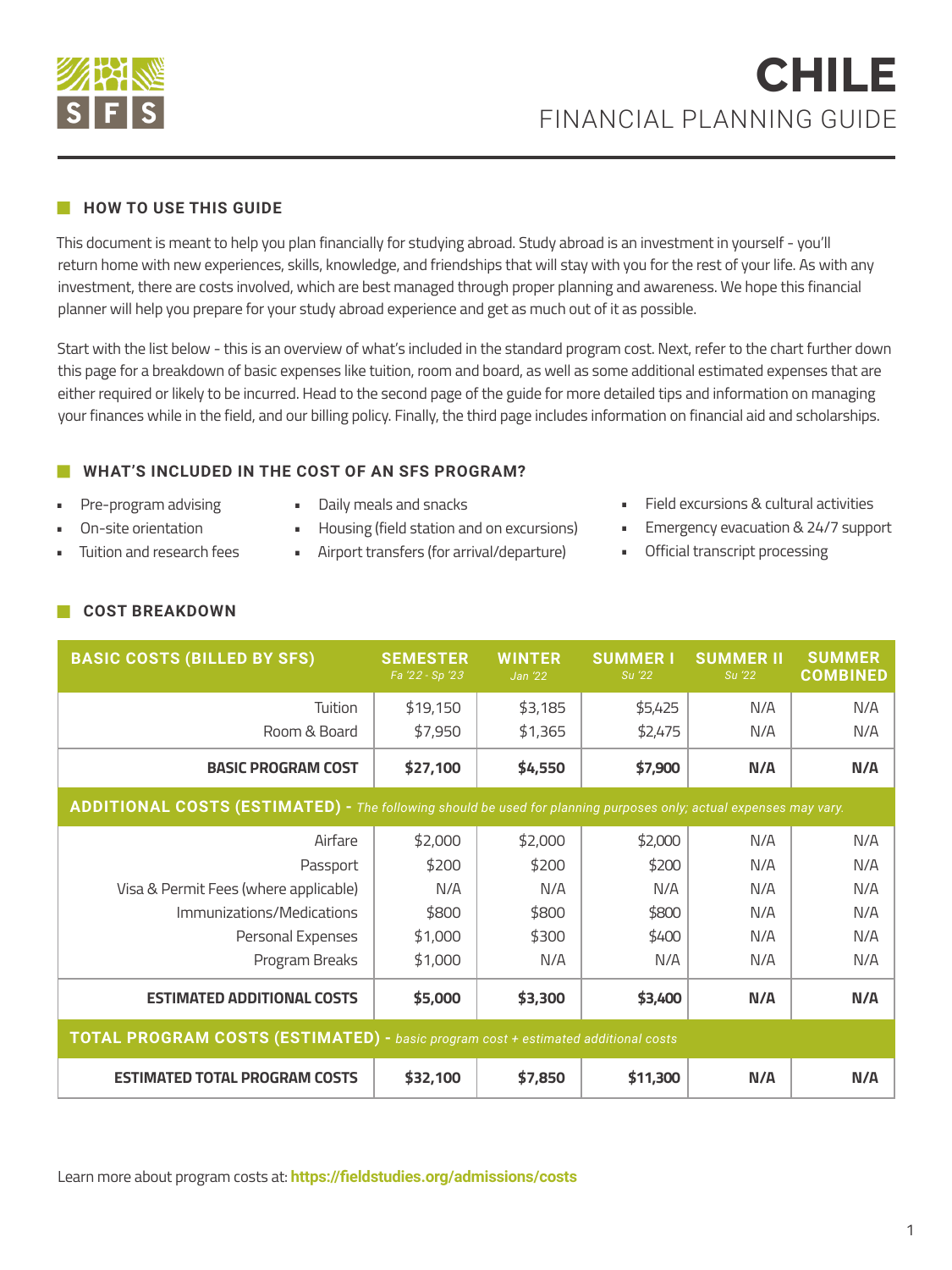

## **HOW TO USE THIS GUIDE**

This document is meant to help you plan financially for studying abroad. Study abroad is an investment in yourself - you'll return home with new experiences, skills, knowledge, and friendships that will stay with you for the rest of your life. As with any investment, there are costs involved, which are best managed through proper planning and awareness. We hope this financial planner will help you prepare for your study abroad experience and get as much out of it as possible.

Start with the list below - this is an overview of what's included in the standard program cost. Next, refer to the chart further down this page for a breakdown of basic expenses like tuition, room and board, as well as some additional estimated expenses that are either required or likely to be incurred. Head to the second page of the guide for more detailed tips and information on managing your finances while in the field, and our billing policy. Finally, the third page includes information on financial aid and scholarships.

# **WHAT'S INCLUDED IN THE COST OF AN SFS PROGRAM?**

- Pre-program advising • On-site orientation
- Daily meals and snacks
- Housing (field station and on excursions)
- Airport transfers (for arrival/departure)
- Field excursions & cultural activities
- **Emergency evacuation & 24/7 support**
- Official transcript processing

**COST BREAKDOWN**

• Tuition and research fees

| <b>BASIC COSTS (BILLED BY SFS)</b>                                                                                | <b>SEMESTER</b><br>Fa '22 - Sp '23 | <b>WINTER</b><br>Jan '22 | <b>SUMMERI</b><br>Su '22 | <b>SUMMER II</b><br>Su '22 | <b>SUMMER</b><br><b>COMBINED</b> |
|-------------------------------------------------------------------------------------------------------------------|------------------------------------|--------------------------|--------------------------|----------------------------|----------------------------------|
| Tuition                                                                                                           | \$19,150                           | \$3,185                  | \$5,425                  | N/A                        | N/A                              |
| Room & Board                                                                                                      | \$7,950                            | \$1,365                  | \$2,475                  | N/A                        | N/A                              |
| <b>BASIC PROGRAM COST</b>                                                                                         | \$27,100                           | \$4,550                  | \$7,900                  | N/A                        | N/A                              |
| ADDITIONAL COSTS (ESTIMATED) - The following should be used for planning purposes only; actual expenses may vary. |                                    |                          |                          |                            |                                  |
| Airfare                                                                                                           | \$2,000                            | \$2,000                  | \$2,000                  | N/A                        | N/A                              |
| Passport                                                                                                          | \$200                              | \$200                    | \$200                    | N/A                        | N/A                              |
| Visa & Permit Fees (where applicable)                                                                             | N/A                                | N/A                      | N/A                      | N/A                        | N/A                              |
| Immunizations/Medications                                                                                         | \$800                              | \$800                    | \$800                    | N/A                        | N/A                              |
| Personal Expenses                                                                                                 | \$1,000                            | \$300                    | \$400                    | N/A                        | N/A                              |
| Program Breaks                                                                                                    | \$1,000                            | N/A                      | N/A                      | N/A                        | N/A                              |
| <b>ESTIMATED ADDITIONAL COSTS</b>                                                                                 | \$5,000                            | \$3,300                  | \$3,400                  | N/A                        | N/A                              |
| <b>TOTAL PROGRAM COSTS (ESTIMATED)</b> - basic program cost + estimated additional costs                          |                                    |                          |                          |                            |                                  |
| <b>ESTIMATED TOTAL PROGRAM COSTS</b>                                                                              | \$32,100                           | \$7,850                  | \$11,300                 | N/A                        | N/A                              |

Learn more about program costs at: **https://fieldstudies.org/admissions/costs**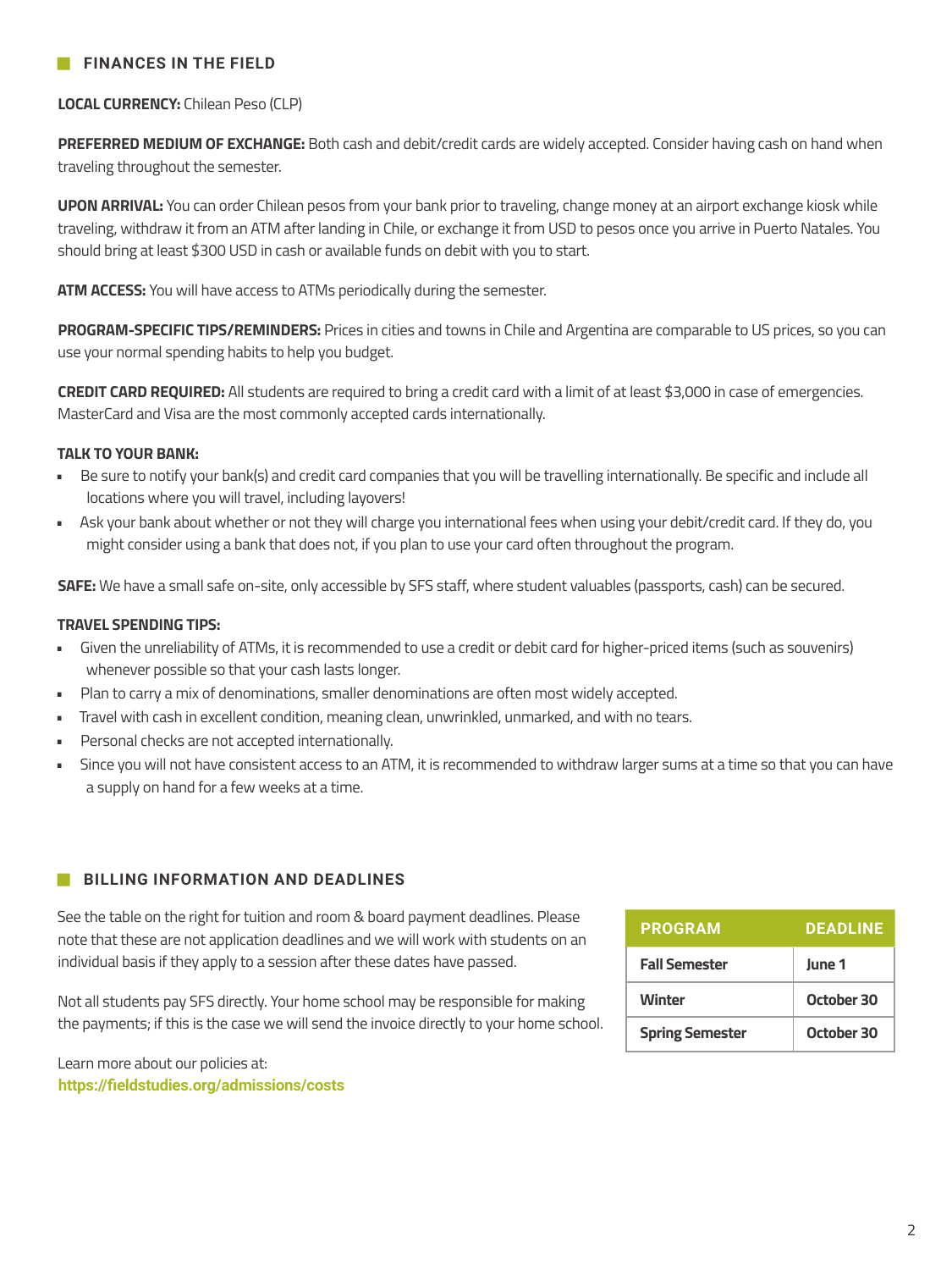## **FINANCES IN THE FIELD**

**LOCAL CURRENCY:** Chilean Peso (CLP)

**PREFERRED MEDIUM OF EXCHANGE:** Both cash and debit/credit cards are widely accepted. Consider having cash on hand when traveling throughout the semester.

**UPON ARRIVAL:** You can order Chilean pesos from your bank prior to traveling, change money at an airport exchange kiosk while traveling, withdraw it from an ATM after landing in Chile, or exchange it from USD to pesos once you arrive in Puerto Natales. You should bring at least \$300 USD in cash or available funds on debit with you to start.

**ATM ACCESS:** You will have access to ATMs periodically during the semester.

**PROGRAM-SPECIFIC TIPS/REMINDERS:** Prices in cities and towns in Chile and Argentina are comparable to US prices, so you can use your normal spending habits to help you budget.

**CREDIT CARD REQUIRED:** All students are required to bring a credit card with a limit of at least \$3,000 in case of emergencies. MasterCard and Visa are the most commonly accepted cards internationally.

#### **TALK TO YOUR BANK:**

- Be sure to notify your bank(s) and credit card companies that you will be travelling internationally. Be specific and include all locations where you will travel, including layovers!
- Ask your bank about whether or not they will charge you international fees when using your debit/credit card. If they do, you might consider using a bank that does not, if you plan to use your card often throughout the program.

**SAFE:** We have a small safe on-site, only accessible by SFS staff, where student valuables (passports, cash) can be secured.

#### **TRAVEL SPENDING TIPS:**

- Given the unreliability of ATMs, it is recommended to use a credit or debit card for higher-priced items (such as souvenirs) whenever possible so that your cash lasts longer.
- Plan to carry a mix of denominations, smaller denominations are often most widely accepted.
- Travel with cash in excellent condition, meaning clean, unwrinkled, unmarked, and with no tears.
- Personal checks are not accepted internationally.
- Since you will not have consistent access to an ATM, it is recommended to withdraw larger sums at a time so that you can have a supply on hand for a few weeks at a time.

### **BILLING INFORMATION AND DEADLINES**

See the table on the right for tuition and room & board payment deadlines. Please note that these are not application deadlines and we will work with students on an individual basis if they apply to a session after these dates have passed.

Not all students pay SFS directly. Your home school may be responsible for making the payments; if this is the case we will send the invoice directly to your home school.

**PROGRAM DEADLINE June 1 October 30 Fall Semester Spring Semester Winter October 30**

Learn more about our policies at: **https://fieldstudies.org/admissions/costs**